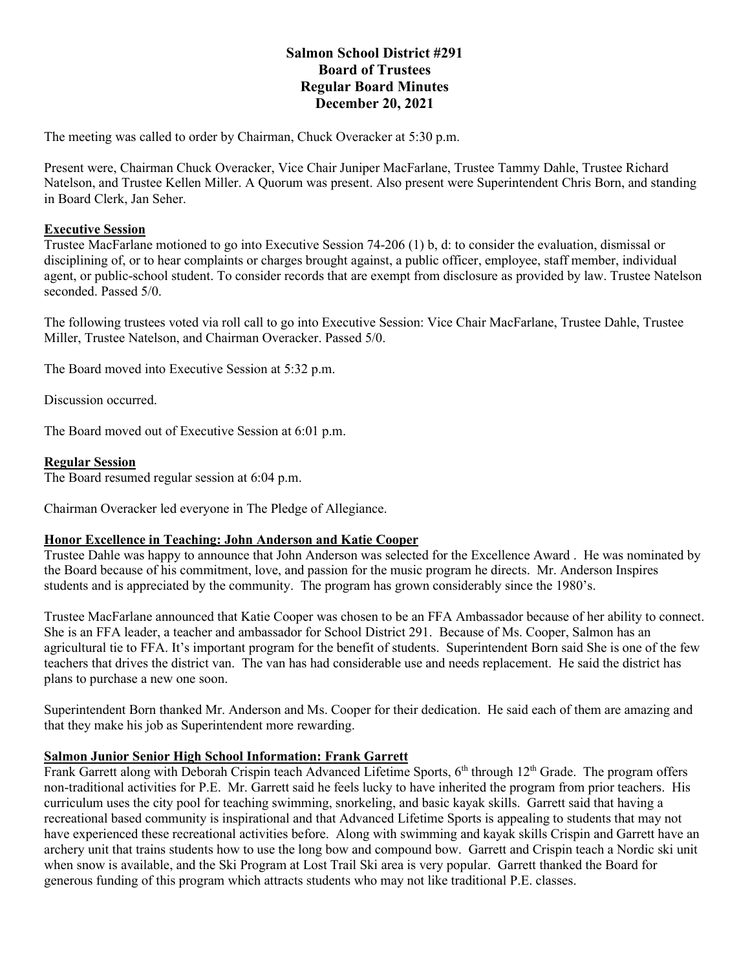# **Salmon School District #291 Board of Trustees Regular Board Minutes December 20, 2021**

The meeting was called to order by Chairman, Chuck Overacker at 5:30 p.m.

Present were, Chairman Chuck Overacker, Vice Chair Juniper MacFarlane, Trustee Tammy Dahle, Trustee Richard Natelson, and Trustee Kellen Miller. A Quorum was present. Also present were Superintendent Chris Born, and standing in Board Clerk, Jan Seher.

### **Executive Session**

Trustee MacFarlane motioned to go into Executive Session 74-206 (1) b, d: to consider the evaluation, dismissal or disciplining of, or to hear complaints or charges brought against, a public officer, employee, staff member, individual agent, or public-school student. To consider records that are exempt from disclosure as provided by law. Trustee Natelson seconded. Passed 5/0.

The following trustees voted via roll call to go into Executive Session: Vice Chair MacFarlane, Trustee Dahle, Trustee Miller, Trustee Natelson, and Chairman Overacker. Passed 5/0.

The Board moved into Executive Session at 5:32 p.m.

Discussion occurred.

The Board moved out of Executive Session at 6:01 p.m.

### **Regular Session**

The Board resumed regular session at 6:04 p.m.

Chairman Overacker led everyone in The Pledge of Allegiance.

#### **Honor Excellence in Teaching: John Anderson and Katie Cooper**

Trustee Dahle was happy to announce that John Anderson was selected for the Excellence Award . He was nominated by the Board because of his commitment, love, and passion for the music program he directs. Mr. Anderson Inspires students and is appreciated by the community. The program has grown considerably since the 1980's.

Trustee MacFarlane announced that Katie Cooper was chosen to be an FFA Ambassador because of her ability to connect. She is an FFA leader, a teacher and ambassador for School District 291. Because of Ms. Cooper, Salmon has an agricultural tie to FFA. It's important program for the benefit of students. Superintendent Born said She is one of the few teachers that drives the district van. The van has had considerable use and needs replacement. He said the district has plans to purchase a new one soon.

Superintendent Born thanked Mr. Anderson and Ms. Cooper for their dedication. He said each of them are amazing and that they make his job as Superintendent more rewarding.

#### **Salmon Junior Senior High School Information: Frank Garrett**

Frank Garrett along with Deborah Crispin teach Advanced Lifetime Sports, 6<sup>th</sup> through 12<sup>th</sup> Grade. The program offers non-traditional activities for P.E. Mr. Garrett said he feels lucky to have inherited the program from prior teachers. His curriculum uses the city pool for teaching swimming, snorkeling, and basic kayak skills. Garrett said that having a recreational based community is inspirational and that Advanced Lifetime Sports is appealing to students that may not have experienced these recreational activities before. Along with swimming and kayak skills Crispin and Garrett have an archery unit that trains students how to use the long bow and compound bow. Garrett and Crispin teach a Nordic ski unit when snow is available, and the Ski Program at Lost Trail Ski area is very popular. Garrett thanked the Board for generous funding of this program which attracts students who may not like traditional P.E. classes.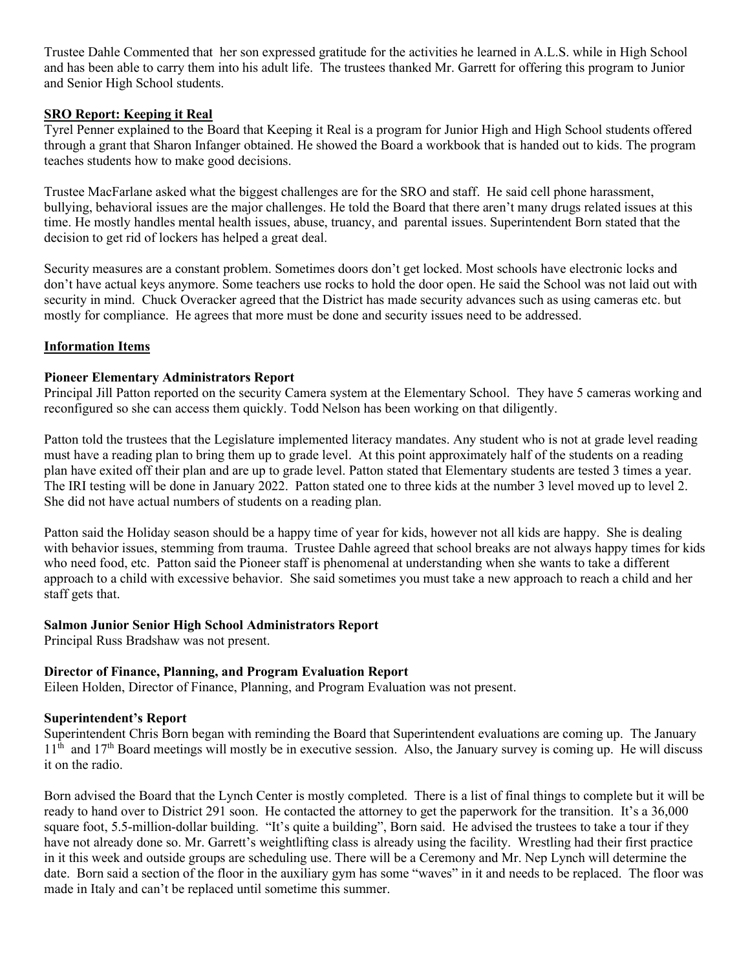Trustee Dahle Commented that her son expressed gratitude for the activities he learned in A.L.S. while in High School and has been able to carry them into his adult life. The trustees thanked Mr. Garrett for offering this program to Junior and Senior High School students.

## **SRO Report: Keeping it Real**

Tyrel Penner explained to the Board that Keeping it Real is a program for Junior High and High School students offered through a grant that Sharon Infanger obtained. He showed the Board a workbook that is handed out to kids. The program teaches students how to make good decisions.

Trustee MacFarlane asked what the biggest challenges are for the SRO and staff. He said cell phone harassment, bullying, behavioral issues are the major challenges. He told the Board that there aren't many drugs related issues at this time. He mostly handles mental health issues, abuse, truancy, and parental issues. Superintendent Born stated that the decision to get rid of lockers has helped a great deal.

Security measures are a constant problem. Sometimes doors don't get locked. Most schools have electronic locks and don't have actual keys anymore. Some teachers use rocks to hold the door open. He said the School was not laid out with security in mind. Chuck Overacker agreed that the District has made security advances such as using cameras etc. but mostly for compliance. He agrees that more must be done and security issues need to be addressed.

### **Information Items**

#### **Pioneer Elementary Administrators Report**

Principal Jill Patton reported on the security Camera system at the Elementary School. They have 5 cameras working and reconfigured so she can access them quickly. Todd Nelson has been working on that diligently.

Patton told the trustees that the Legislature implemented literacy mandates. Any student who is not at grade level reading must have a reading plan to bring them up to grade level. At this point approximately half of the students on a reading plan have exited off their plan and are up to grade level. Patton stated that Elementary students are tested 3 times a year. The IRI testing will be done in January 2022. Patton stated one to three kids at the number 3 level moved up to level 2. She did not have actual numbers of students on a reading plan.

Patton said the Holiday season should be a happy time of year for kids, however not all kids are happy. She is dealing with behavior issues, stemming from trauma. Trustee Dahle agreed that school breaks are not always happy times for kids who need food, etc. Patton said the Pioneer staff is phenomenal at understanding when she wants to take a different approach to a child with excessive behavior. She said sometimes you must take a new approach to reach a child and her staff gets that.

### **Salmon Junior Senior High School Administrators Report**

Principal Russ Bradshaw was not present.

## **Director of Finance, Planning, and Program Evaluation Report**

Eileen Holden, Director of Finance, Planning, and Program Evaluation was not present.

#### **Superintendent's Report**

Superintendent Chris Born began with reminding the Board that Superintendent evaluations are coming up. The January  $11<sup>th</sup>$  and  $17<sup>th</sup>$  Board meetings will mostly be in executive session. Also, the January survey is coming up. He will discuss it on the radio.

Born advised the Board that the Lynch Center is mostly completed. There is a list of final things to complete but it will be ready to hand over to District 291 soon. He contacted the attorney to get the paperwork for the transition. It's a 36,000 square foot, 5.5-million-dollar building. "It's quite a building", Born said. He advised the trustees to take a tour if they have not already done so. Mr. Garrett's weightlifting class is already using the facility. Wrestling had their first practice in it this week and outside groups are scheduling use. There will be a Ceremony and Mr. Nep Lynch will determine the date. Born said a section of the floor in the auxiliary gym has some "waves" in it and needs to be replaced. The floor was made in Italy and can't be replaced until sometime this summer.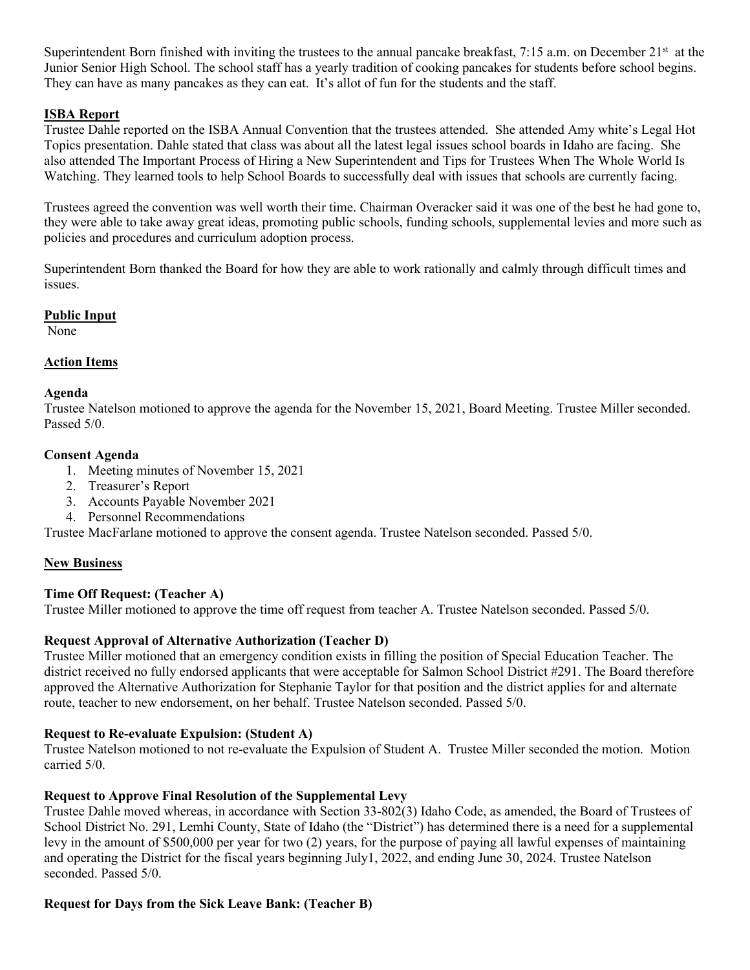Superintendent Born finished with inviting the trustees to the annual pancake breakfast,  $7:15$  a.m. on December  $21<sup>st</sup>$  at the Junior Senior High School. The school staff has a yearly tradition of cooking pancakes for students before school begins. They can have as many pancakes as they can eat. It's allot of fun for the students and the staff.

## **ISBA Report**

Trustee Dahle reported on the ISBA Annual Convention that the trustees attended. She attended Amy white's Legal Hot Topics presentation. Dahle stated that class was about all the latest legal issues school boards in Idaho are facing. She also attended The Important Process of Hiring a New Superintendent and Tips for Trustees When The Whole World Is Watching. They learned tools to help School Boards to successfully deal with issues that schools are currently facing.

Trustees agreed the convention was well worth their time. Chairman Overacker said it was one of the best he had gone to, they were able to take away great ideas, promoting public schools, funding schools, supplemental levies and more such as policies and procedures and curriculum adoption process.

Superintendent Born thanked the Board for how they are able to work rationally and calmly through difficult times and issues.

### **Public Input**

None

## **Action Items**

#### **Agenda**

Trustee Natelson motioned to approve the agenda for the November 15, 2021, Board Meeting. Trustee Miller seconded. Passed 5/0.

#### **Consent Agenda**

- 1. Meeting minutes of November 15, 2021
- 2. Treasurer's Report
- 3. Accounts Payable November 2021
- 4. Personnel Recommendations

Trustee MacFarlane motioned to approve the consent agenda. Trustee Natelson seconded. Passed 5/0.

#### **New Business**

## **Time Off Request: (Teacher A)**

Trustee Miller motioned to approve the time off request from teacher A. Trustee Natelson seconded. Passed 5/0.

## **Request Approval of Alternative Authorization (Teacher D)**

Trustee Miller motioned that an emergency condition exists in filling the position of Special Education Teacher. The district received no fully endorsed applicants that were acceptable for Salmon School District #291. The Board therefore approved the Alternative Authorization for Stephanie Taylor for that position and the district applies for and alternate route, teacher to new endorsement, on her behalf. Trustee Natelson seconded. Passed 5/0.

## **Request to Re-evaluate Expulsion: (Student A)**

Trustee Natelson motioned to not re-evaluate the Expulsion of Student A. Trustee Miller seconded the motion. Motion carried 5/0.

## **Request to Approve Final Resolution of the Supplemental Levy**

Trustee Dahle moved whereas, in accordance with Section 33-802(3) Idaho Code, as amended, the Board of Trustees of School District No. 291, Lemhi County, State of Idaho (the "District") has determined there is a need for a supplemental levy in the amount of \$500,000 per year for two (2) years, for the purpose of paying all lawful expenses of maintaining and operating the District for the fiscal years beginning July1, 2022, and ending June 30, 2024. Trustee Natelson seconded. Passed 5/0.

## **Request for Days from the Sick Leave Bank: (Teacher B)**